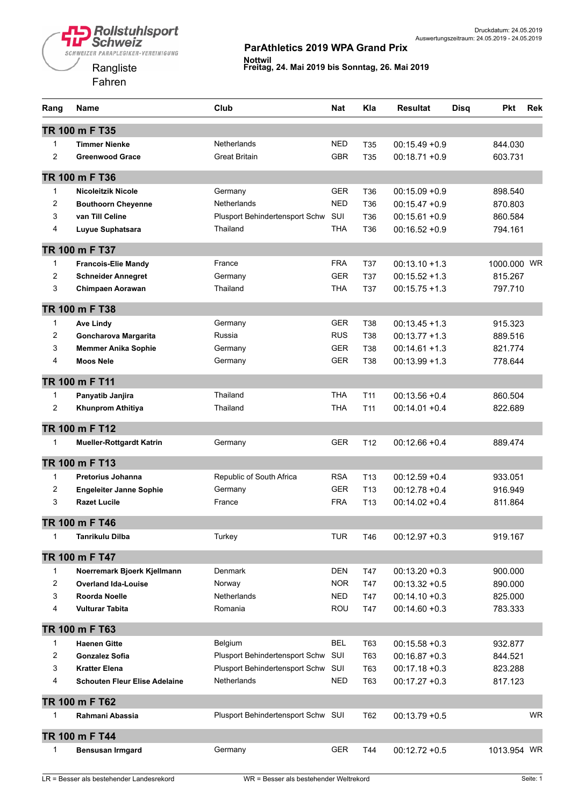

| Rang           | <b>Name</b>                          | Club                               | <b>Nat</b> | Kla             | <b>Resultat</b>  | <b>Pkt</b><br><b>Disq</b> | <b>Rek</b> |
|----------------|--------------------------------------|------------------------------------|------------|-----------------|------------------|---------------------------|------------|
|                | TR 100 m F T35                       |                                    |            |                 |                  |                           |            |
| $\mathbf{1}$   | <b>Timmer Nienke</b>                 | <b>Netherlands</b>                 | <b>NED</b> | T35             | $00:15.49 + 0.9$ | 844.030                   |            |
| $\overline{c}$ | <b>Greenwood Grace</b>               | <b>Great Britain</b>               | <b>GBR</b> | T <sub>35</sub> | $00:18.71 + 0.9$ | 603.731                   |            |
|                | TR 100 m F T36                       |                                    |            |                 |                  |                           |            |
| 1              | <b>Nicoleitzik Nicole</b>            | Germany                            | <b>GER</b> | T36             | $00:15.09 + 0.9$ | 898.540                   |            |
| $\overline{2}$ | <b>Bouthoorn Cheyenne</b>            | Netherlands                        | <b>NED</b> | T <sub>36</sub> | $00:15.47 + 0.9$ | 870.803                   |            |
| 3              | van Till Celine                      | Plusport Behindertensport Schw     | SUI        | T36             | $00:15.61 + 0.9$ | 860.584                   |            |
| 4              | Luyue Suphatsara                     | Thailand                           | <b>THA</b> | T36             | $00:16.52 + 0.9$ | 794.161                   |            |
|                | TR 100 m F T37                       |                                    |            |                 |                  |                           |            |
| $\mathbf{1}$   | <b>Francois-Elie Mandy</b>           | France                             | <b>FRA</b> | T37             | $00:13.10 + 1.3$ | 1000,000 WR               |            |
| $\overline{c}$ | <b>Schneider Annegret</b>            | Germany                            | <b>GER</b> | <b>T37</b>      | $00:15.52 + 1.3$ | 815.267                   |            |
| 3              | Chimpaen Aorawan                     | Thailand                           | THA        | T37             | $00:15.75 + 1.3$ | 797.710                   |            |
|                | TR 100 m F T38                       |                                    |            |                 |                  |                           |            |
| 1              | <b>Ave Lindy</b>                     | Germany                            | <b>GER</b> | <b>T38</b>      | $00:13.45 + 1.3$ | 915.323                   |            |
| 2              | Goncharova Margarita                 | Russia                             | <b>RUS</b> | T38             | $00:13.77+1.3$   | 889.516                   |            |
| 3              | <b>Memmer Anika Sophie</b>           | Germany                            | <b>GER</b> | <b>T38</b>      | $00:14.61 + 1.3$ | 821.774                   |            |
| 4              | <b>Moos Nele</b>                     | Germany                            | <b>GER</b> | <b>T38</b>      | $00:13.99 + 1.3$ | 778.644                   |            |
|                | TR 100 m F T11                       |                                    |            |                 |                  |                           |            |
| $\mathbf{1}$   | Panyatib Janjira                     | Thailand                           | <b>THA</b> | T <sub>11</sub> | $00:13.56 + 0.4$ | 860.504                   |            |
| $\overline{c}$ | Khunprom Athitiya                    | Thailand                           | <b>THA</b> | T <sub>11</sub> | $00:14.01 + 0.4$ | 822.689                   |            |
|                | TR 100 m F T12                       |                                    |            |                 |                  |                           |            |
| $\mathbf{1}$   | <b>Mueller-Rottgardt Katrin</b>      | Germany                            | <b>GER</b> | T <sub>12</sub> | $00:12.66 + 0.4$ | 889.474                   |            |
|                | TR 100 m F T13                       |                                    |            |                 |                  |                           |            |
| $\mathbf{1}$   | <b>Pretorius Johanna</b>             | Republic of South Africa           | <b>RSA</b> | T <sub>13</sub> | $00:12.59 + 0.4$ | 933.051                   |            |
| 2              | <b>Engeleiter Janne Sophie</b>       | Germany                            | <b>GER</b> | T <sub>13</sub> | $00:12.78 + 0.4$ | 916.949                   |            |
| 3              | <b>Razet Lucile</b>                  | France                             | <b>FRA</b> | T <sub>13</sub> | $00:14.02 + 0.4$ | 811.864                   |            |
|                | TR 100 m F T46                       |                                    |            |                 |                  |                           |            |
| 1              | <b>Tanrikulu Dilba</b>               | Turkey                             | <b>TUR</b> | T46             | $00:12.97 + 0.3$ | 919.167                   |            |
|                | TR 100 m F T47                       |                                    |            |                 |                  |                           |            |
| 1              | Noerremark Bjoerk Kjellmann          | Denmark                            | <b>DEN</b> | T47             | $00:13.20 + 0.3$ | 900.000                   |            |
| $\overline{c}$ | <b>Overland Ida-Louise</b>           | Norway                             | <b>NOR</b> | T47             | $00:13.32 + 0.5$ | 890.000                   |            |
| 3              | Roorda Noelle                        | <b>Netherlands</b>                 | <b>NED</b> | T47             | $00:14.10 + 0.3$ | 825.000                   |            |
| 4              | <b>Vulturar Tabita</b>               | Romania                            | ROU        | T47             | $00:14.60 + 0.3$ | 783.333                   |            |
|                | TR 100 m F T63                       |                                    |            |                 |                  |                           |            |
| 1              | <b>Haenen Gitte</b>                  | Belgium                            | <b>BEL</b> | T63             | $00:15.58 + 0.3$ | 932.877                   |            |
| 2              | <b>Gonzalez Sofia</b>                | Plusport Behindertensport Schw SUI |            | T63             | $00:16.87 + 0.3$ | 844.521                   |            |
| 3              | <b>Kratter Elena</b>                 | Plusport Behindertensport Schw     | SUI        | T63             | $00:17.18 + 0.3$ | 823.288                   |            |
| 4              | <b>Schouten Fleur Elise Adelaine</b> | <b>Netherlands</b>                 | <b>NED</b> | T63             | $00:17.27 + 0.3$ | 817.123                   |            |
|                | TR 100 m F T62                       |                                    |            |                 |                  |                           |            |
| 1              | Rahmani Abassia                      | Plusport Behindertensport Schw SUI |            | T62             | $00:13.79 + 0.5$ |                           | <b>WR</b>  |
|                | TR 100 m F T44                       |                                    |            |                 |                  |                           |            |
| 1              | <b>Bensusan Irmgard</b>              | Germany                            | <b>GER</b> | T44             | $00:12.72 + 0.5$ | 1013.954 WR               |            |
|                |                                      |                                    |            |                 |                  |                           |            |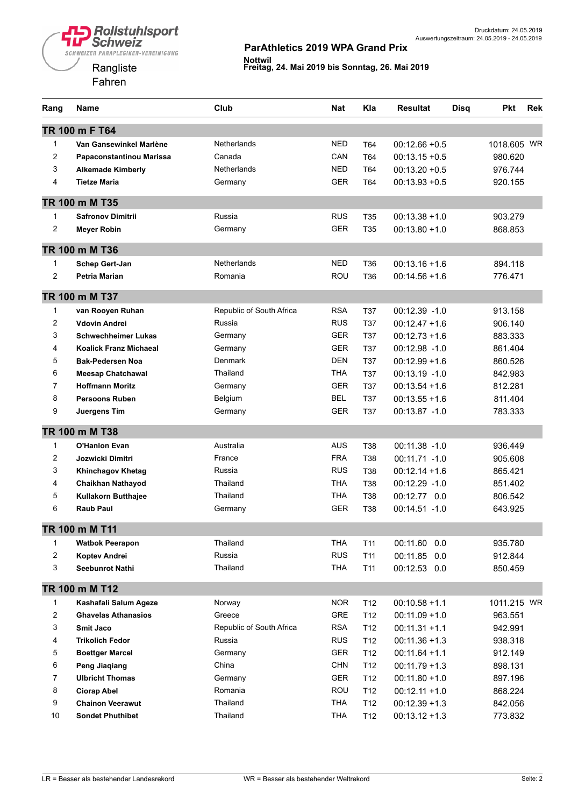

| Rang           | Name                          | Club                     | <b>Nat</b> | Kla             | <b>Resultat</b>  | <b>Disq</b> | Pkt         | <b>Rek</b> |
|----------------|-------------------------------|--------------------------|------------|-----------------|------------------|-------------|-------------|------------|
|                | TR 100 m F T64                |                          |            |                 |                  |             |             |            |
| $\mathbf{1}$   | Van Gansewinkel Marlène       | <b>Netherlands</b>       | <b>NED</b> | T64             | $00:12.66 + 0.5$ |             | 1018.605 WR |            |
| $\overline{c}$ | Papaconstantinou Marissa      | Canada                   | CAN        | T64             | $00:13.15 + 0.5$ |             | 980.620     |            |
| 3              | <b>Alkemade Kimberly</b>      | <b>Netherlands</b>       | <b>NED</b> | T64             | $00:13.20 + 0.5$ |             | 976.744     |            |
| 4              | <b>Tietze Maria</b>           | Germany                  | <b>GER</b> | T64             | $00:13.93 + 0.5$ |             | 920.155     |            |
|                | TR 100 m M T35                |                          |            |                 |                  |             |             |            |
| 1              | <b>Safronov Dimitrii</b>      | Russia                   | <b>RUS</b> | T35             | $00:13.38 + 1.0$ |             | 903.279     |            |
| 2              | <b>Meyer Robin</b>            | Germany                  | <b>GER</b> | T <sub>35</sub> | $00:13.80 + 1.0$ |             | 868.853     |            |
|                | TR 100 m M T36                |                          |            |                 |                  |             |             |            |
| 1              | Schep Gert-Jan                | <b>Netherlands</b>       | <b>NED</b> | T <sub>36</sub> | $00:13.16 + 1.6$ |             | 894.118     |            |
| $\overline{c}$ | Petria Marian                 | Romania                  | ROU        | T36             | $00:14.56 + 1.6$ |             | 776.471     |            |
|                | TR 100 m M T37                |                          |            |                 |                  |             |             |            |
| $\mathbf{1}$   | van Rooyen Ruhan              | Republic of South Africa | <b>RSA</b> | <b>T37</b>      | $00:12.39 - 1.0$ |             | 913.158     |            |
| 2              | <b>Vdovin Andrei</b>          | Russia                   | <b>RUS</b> | <b>T37</b>      | $00:12.47 + 1.6$ |             | 906.140     |            |
| 3              | <b>Schwechheimer Lukas</b>    | Germany                  | <b>GER</b> | <b>T37</b>      | $00:12.73 + 1.6$ |             | 883.333     |            |
| 4              | <b>Koalick Franz Michaeal</b> | Germany                  | <b>GER</b> | <b>T37</b>      | 00:12.98 -1.0    |             | 861.404     |            |
| 5              | <b>Bak-Pedersen Noa</b>       | <b>Denmark</b>           | <b>DEN</b> | <b>T37</b>      | $00:12.99 + 1.6$ |             | 860.526     |            |
| 6              | <b>Meesap Chatchawal</b>      | Thailand                 | <b>THA</b> | <b>T37</b>      | 00:13.19 -1.0    |             | 842.983     |            |
| $\overline{7}$ | <b>Hoffmann Moritz</b>        | Germany                  | <b>GER</b> | <b>T37</b>      | $00:13.54 + 1.6$ |             | 812.281     |            |
| 8              | <b>Persoons Ruben</b>         | Belgium                  | <b>BEL</b> | <b>T37</b>      | $00:13.55 + 1.6$ |             | 811.404     |            |
| 9              | Juergens Tim                  | Germany                  | <b>GER</b> | T37             | 00:13.87 -1.0    |             | 783.333     |            |
|                | TR 100 m M T38                |                          |            |                 |                  |             |             |            |
| 1              | <b>O'Hanlon Evan</b>          | Australia                | <b>AUS</b> | <b>T38</b>      | $00:11.38 - 1.0$ |             | 936.449     |            |
| 2              | Jozwicki Dimitri              | France                   | <b>FRA</b> | T38             | 00:11.71 -1.0    |             | 905.608     |            |
| 3              | <b>Khinchagov Khetag</b>      | Russia                   | <b>RUS</b> | <b>T38</b>      | $00:12.14 + 1.6$ |             | 865.421     |            |
| 4              | <b>Chaikhan Nathayod</b>      | Thailand                 | <b>THA</b> | T38             | $00:12.29 - 1.0$ |             | 851.402     |            |
| 5              | Kullakorn Butthajee           | Thailand                 | <b>THA</b> | T38             | 00:12.77 0.0     |             | 806.542     |            |
| 6              | <b>Raub Paul</b>              | Germany                  | <b>GER</b> | T38             | 00:14.51 -1.0    |             | 643.925     |            |
|                | TR 100 m M T11                |                          |            |                 |                  |             |             |            |
| 1              | <b>Watbok Peerapon</b>        | Thailand                 | <b>THA</b> | T <sub>11</sub> | 00:11.60 0.0     |             | 935.780     |            |
| 2              | Koptev Andrei                 | Russia                   | <b>RUS</b> | T <sub>11</sub> | 00:11.85<br>0.0  |             | 912.844     |            |
| 3              | <b>Seebunrot Nathi</b>        | Thailand                 | <b>THA</b> | T <sub>11</sub> | 00:12.53 0.0     |             | 850.459     |            |
|                | TR 100 m M T12                |                          |            |                 |                  |             |             |            |
| 1              | Kashafali Salum Ageze         | Norway                   | <b>NOR</b> | T12             | $00:10.58 + 1.1$ |             | 1011.215 WR |            |
| 2              | <b>Ghavelas Athanasios</b>    | Greece                   | GRE        | T12             | $00:11.09 + 1.0$ |             | 963.551     |            |
| 3              | Smit Jaco                     | Republic of South Africa | <b>RSA</b> | T <sub>12</sub> | $00:11.31 + 1.1$ |             | 942.991     |            |
| 4              | <b>Trikolich Fedor</b>        | Russia                   | <b>RUS</b> | T <sub>12</sub> | $00:11.36 + 1.3$ |             | 938.318     |            |
| 5              | <b>Boettger Marcel</b>        | Germany                  | GER        | T <sub>12</sub> | $00:11.64 + 1.1$ |             | 912.149     |            |
| 6              | <b>Peng Jiaqiang</b>          | China                    | <b>CHN</b> | T12             | $00:11.79 + 1.3$ |             | 898.131     |            |
| $\overline{7}$ | <b>Ulbricht Thomas</b>        | Germany                  | <b>GER</b> | T <sub>12</sub> | $00:11.80 + 1.0$ |             | 897.196     |            |
| 8              | <b>Ciorap Abel</b>            | Romania                  | ROU        | T <sub>12</sub> | $00:12.11 + 1.0$ |             | 868.224     |            |
| 9              | <b>Chainon Veerawut</b>       | Thailand                 | <b>THA</b> | T <sub>12</sub> | $00:12.39 + 1.3$ |             | 842.056     |            |
| 10             | <b>Sondet Phuthibet</b>       | Thailand                 | <b>THA</b> | T12             | $00:13.12 + 1.3$ |             | 773.832     |            |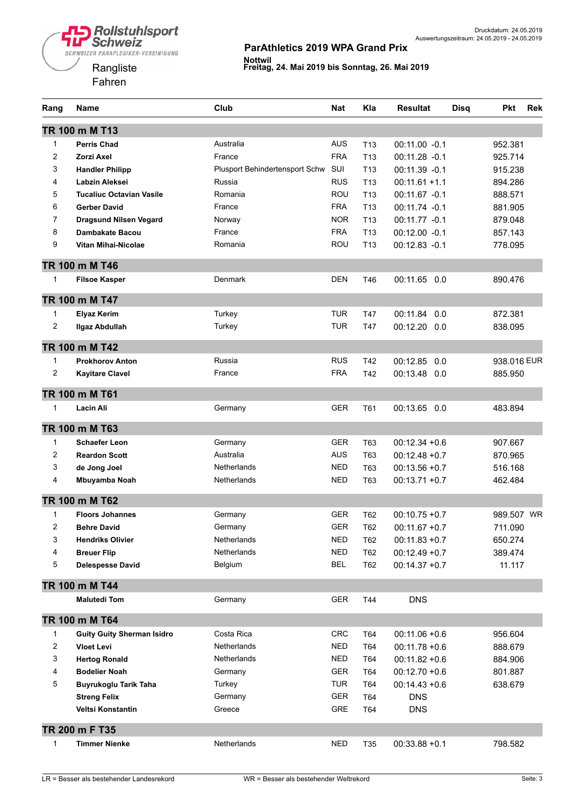



| Rang           | Name                              | Club                           | Nat        | Kla             | <b>Resultat</b>  | <b>Disq</b> | <b>Pkt</b>  | Rek |
|----------------|-----------------------------------|--------------------------------|------------|-----------------|------------------|-------------|-------------|-----|
|                | TR 100 m M T13                    |                                |            |                 |                  |             |             |     |
| $\mathbf{1}$   | <b>Perris Chad</b>                | Australia                      | AUS        | T <sub>13</sub> | $00:11.00 -0.1$  |             | 952.381     |     |
| 2              | Zorzi Axel                        | France                         | <b>FRA</b> | T <sub>13</sub> | 00:11.28 -0.1    |             | 925.714     |     |
| 3              | <b>Handler Philipp</b>            | Plusport Behindertensport Schw | SUI        | T <sub>13</sub> | 00:11.39 -0.1    |             | 915.238     |     |
| 4              | Labzin Aleksei                    | Russia                         | <b>RUS</b> | T <sub>13</sub> | $00:11.61 + 1.1$ |             | 894.286     |     |
| 5              | <b>Tucaliuc Octavian Vasile</b>   | Romania                        | ROU        | T <sub>13</sub> | 00:11.67 -0.1    |             | 888.571     |     |
| 6              | <b>Gerber David</b>               | France                         | <b>FRA</b> | T <sub>13</sub> | 00:11.74 -0.1    |             | 881.905     |     |
| 7              | <b>Dragsund Nilsen Vegard</b>     | Norway                         | <b>NOR</b> | T <sub>13</sub> | 00:11.77 -0.1    |             | 879.048     |     |
| 8              | <b>Dambakate Bacou</b>            | France                         | <b>FRA</b> | T <sub>13</sub> | $00:12.00 -0.1$  |             | 857.143     |     |
| 9              | Vitan Mihai-Nicolae               | Romania                        | ROU        | T <sub>13</sub> | 00:12.83 -0.1    |             | 778.095     |     |
|                | TR 100 m M T46                    |                                |            |                 |                  |             |             |     |
| 1              | <b>Filsoe Kasper</b>              | <b>Denmark</b>                 | DEN        | T46             | 00:11.65<br>0.0  |             | 890.476     |     |
|                | TR 100 m M T47                    |                                |            |                 |                  |             |             |     |
| 1              | <b>Elyaz Kerim</b>                | Turkey                         | TUR        | T47             | 00:11.84<br>0.0  |             | 872.381     |     |
| $\overline{c}$ | <b>Ilgaz Abdullah</b>             | Turkey                         | <b>TUR</b> | T47             | 00:12.20 0.0     |             | 838.095     |     |
|                | TR 100 m M T42                    |                                |            |                 |                  |             |             |     |
| 1              | <b>Prokhorov Anton</b>            | Russia                         | <b>RUS</b> | T42             | 00:12.85<br>0.0  |             | 938.016 EUR |     |
| 2              | <b>Kayitare Clavel</b>            | France                         | <b>FRA</b> | T42             | 00:13.48 0.0     |             | 885.950     |     |
|                | TR 100 m M T61                    |                                |            |                 |                  |             |             |     |
| 1              | Lacin Ali                         | Germany                        | <b>GER</b> | T61             | 00:13.65 0.0     |             | 483.894     |     |
|                | TR 100 m M T63                    |                                |            |                 |                  |             |             |     |
| $\mathbf{1}$   | <b>Schaefer Leon</b>              | Germany                        | <b>GER</b> | T63             | $00:12.34 + 0.6$ |             | 907.667     |     |
| $\overline{c}$ | <b>Reardon Scott</b>              | Australia                      | <b>AUS</b> | T63             | $00:12.48 + 0.7$ |             | 870.965     |     |
| 3              | de Jong Joel                      | Netherlands                    | NED        | T63             | $00:13.56 + 0.7$ |             | 516.168     |     |
| 4              | Mbuyamba Noah                     | Netherlands                    | <b>NED</b> | T63             | $00:13.71 + 0.7$ |             | 462.484     |     |
|                | TR 100 m M T62                    |                                |            |                 |                  |             |             |     |
| 1              | <b>Floors Johannes</b>            | Germany                        | <b>GER</b> | T62             | $00:10.75 + 0.7$ |             | 989.507 WR  |     |
| 2              | <b>Behre David</b>                | Germany                        | <b>GER</b> | T62             | $00:11.67 + 0.7$ |             | 711.090     |     |
| 3              | <b>Hendriks Olivier</b>           | Netherlands                    | <b>NED</b> | T62             | $00:11.83 + 0.7$ |             | 650.274     |     |
| 4              | <b>Breuer Flip</b>                | <b>Netherlands</b>             | <b>NED</b> | T62             | $00:12.49 + 0.7$ |             | 389.474     |     |
| 5              | <b>Delespesse David</b>           | Belgium                        | <b>BEL</b> | T62             | $00:14.37 + 0.7$ |             | 11.117      |     |
|                | TR 100 m M T44                    |                                |            |                 |                  |             |             |     |
|                | <b>Malutedi Tom</b>               | Germany                        | <b>GER</b> | T44             | <b>DNS</b>       |             |             |     |
|                | TR 100 m M T64                    |                                |            |                 |                  |             |             |     |
| 1              | <b>Guity Guity Sherman Isidro</b> | Costa Rica                     | <b>CRC</b> | T64             | $00:11.06 + 0.6$ |             | 956.604     |     |
| 2              | <b>Vloet Levi</b>                 | <b>Netherlands</b>             | <b>NED</b> | T64             | $00:11.78 + 0.6$ |             | 888.679     |     |
| 3              | <b>Hertog Ronald</b>              | <b>Netherlands</b>             | <b>NED</b> | T64             | $00:11.82 + 0.6$ |             | 884.906     |     |
| 4              | <b>Bodelier Noah</b>              | Germany                        | <b>GER</b> | T64             | $00:12.70 +0.6$  |             | 801.887     |     |
| 5              | Buyrukoglu Tarik Taha             | Turkey                         | <b>TUR</b> | T64             | $00:14.43 + 0.6$ |             | 638.679     |     |
|                | <b>Streng Felix</b>               | Germany                        | <b>GER</b> | T64             | <b>DNS</b>       |             |             |     |
|                | Veltsi Konstantin                 | Greece                         | <b>GRE</b> | T64             | <b>DNS</b>       |             |             |     |
|                | TR 200 m F T35                    |                                |            |                 |                  |             |             |     |
| 1              | <b>Timmer Nienke</b>              | Netherlands                    | NED        | T35             | $00:33.88 + 0.1$ |             | 798.582     |     |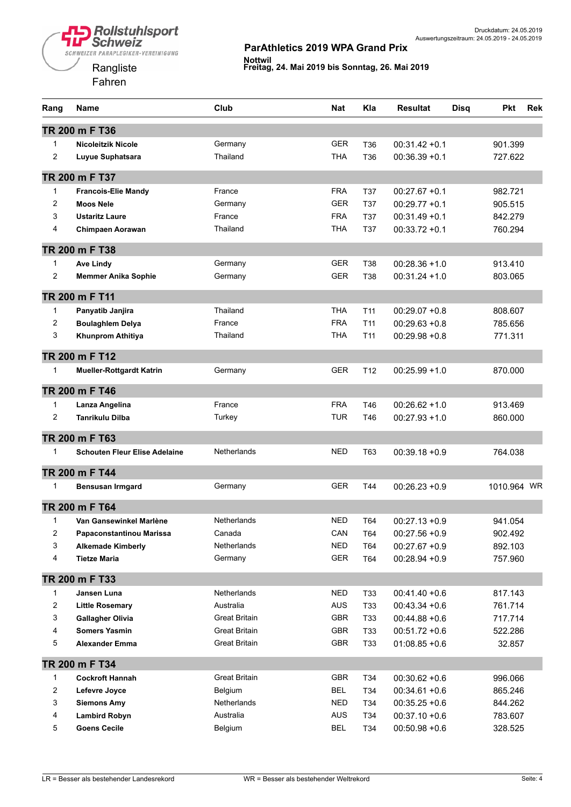



| Rang           | Name                                 | Club                 | <b>Nat</b> | Kla             | <b>Resultat</b>  | <b>Disa</b> | Pkt         | <b>Rek</b> |
|----------------|--------------------------------------|----------------------|------------|-----------------|------------------|-------------|-------------|------------|
|                | TR 200 m F T36                       |                      |            |                 |                  |             |             |            |
| $\mathbf{1}$   | <b>Nicoleitzik Nicole</b>            | Germany              | <b>GER</b> | T <sub>36</sub> | $00:31.42 + 0.1$ |             | 901.399     |            |
| $\overline{c}$ | Luyue Suphatsara                     | Thailand             | <b>THA</b> | T36             | $00:36.39 + 0.1$ |             | 727.622     |            |
|                | TR 200 m F T37                       |                      |            |                 |                  |             |             |            |
| $\mathbf{1}$   | <b>Francois-Elie Mandy</b>           | France               | <b>FRA</b> | T37             | $00:27.67 + 0.1$ |             | 982.721     |            |
| 2              | <b>Moos Nele</b>                     | Germany              | <b>GER</b> | <b>T37</b>      | $00:29.77 + 0.1$ |             | 905.515     |            |
| 3              | <b>Ustaritz Laure</b>                | France               | <b>FRA</b> | <b>T37</b>      | $00:31.49 + 0.1$ |             | 842.279     |            |
| 4              | <b>Chimpaen Aorawan</b>              | Thailand             | THA        | T37             | $00:33.72 +0.1$  |             | 760.294     |            |
|                | TR 200 m F T38                       |                      |            |                 |                  |             |             |            |
| $\mathbf{1}$   | <b>Ave Lindy</b>                     | Germany              | <b>GER</b> | <b>T38</b>      | $00:28.36 + 1.0$ |             | 913.410     |            |
| $\overline{c}$ | <b>Memmer Anika Sophie</b>           | Germany              | <b>GER</b> | T38             | $00:31.24 + 1.0$ |             | 803.065     |            |
|                | TR 200 m F T11                       |                      |            |                 |                  |             |             |            |
| $\mathbf{1}$   | Panyatib Janjira                     | Thailand             | <b>THA</b> | T <sub>11</sub> | $00:29.07 +0.8$  |             | 808.607     |            |
| $\overline{c}$ | <b>Boulaghlem Delya</b>              | France               | <b>FRA</b> | T <sub>11</sub> | $00:29.63 + 0.8$ |             | 785.656     |            |
| 3              | Khunprom Athitiya                    | Thailand             | THA        | T <sub>11</sub> | $00:29.98 + 0.8$ |             | 771.311     |            |
|                | TR 200 m F T12                       |                      |            |                 |                  |             |             |            |
| $\mathbf{1}$   | <b>Mueller-Rottgardt Katrin</b>      | Germany              | <b>GER</b> | T <sub>12</sub> | $00:25.99 + 1.0$ |             | 870.000     |            |
|                | TR 200 m F T46                       |                      |            |                 |                  |             |             |            |
| $\mathbf{1}$   | Lanza Angelina                       | France               | <b>FRA</b> | T46             | $00:26.62 + 1.0$ |             | 913.469     |            |
| 2              | <b>Tanrikulu Dilba</b>               | Turkey               | <b>TUR</b> | T46             | $00:27.93 + 1.0$ |             | 860.000     |            |
|                | TR 200 m F T63                       |                      |            |                 |                  |             |             |            |
| 1              | <b>Schouten Fleur Elise Adelaine</b> | Netherlands          | <b>NED</b> | T63             | $00:39.18 + 0.9$ |             | 764.038     |            |
|                | TR 200 m F T44                       |                      |            |                 |                  |             |             |            |
| 1              | <b>Bensusan Irmgard</b>              | Germany              | <b>GER</b> | T44             | $00:26.23 + 0.9$ |             | 1010.964 WR |            |
|                | TR 200 m F T64                       |                      |            |                 |                  |             |             |            |
| 1              | Van Gansewinkel Marlène              | Netherlands          | <b>NED</b> | T64             | $00:27.13 + 0.9$ |             | 941.054     |            |
| 2              | Papaconstantinou Marissa             | Canada               | CAN        | T64             | $00:27.56 + 0.9$ |             | 902.492     |            |
| 3              | <b>Alkemade Kimberly</b>             | Netherlands          | <b>NED</b> | T64             | $00:27.67 + 0.9$ |             | 892.103     |            |
| 4              | <b>Tietze Maria</b>                  | Germany              | <b>GER</b> | T64             | $00:28.94 + 0.9$ |             | 757.960     |            |
|                | TR 200 m F T33                       |                      |            |                 |                  |             |             |            |
| $\mathbf{1}$   | Jansen Luna                          | <b>Netherlands</b>   | <b>NED</b> | T33             | $00:41.40 + 0.6$ |             | 817.143     |            |
| 2              | <b>Little Rosemary</b>               | Australia            | <b>AUS</b> | T33             | $00:43.34 + 0.6$ |             | 761.714     |            |
| 3              | <b>Gallagher Olivia</b>              | <b>Great Britain</b> | GBR        | T33             | $00:44.88 + 0.6$ |             | 717.714     |            |
| 4              | <b>Somers Yasmin</b>                 | <b>Great Britain</b> | GBR        | T33             | $00:51.72 +0.6$  |             | 522.286     |            |
| 5              | <b>Alexander Emma</b>                | <b>Great Britain</b> | GBR        | T33             | $01:08.85 + 0.6$ |             | 32.857      |            |
|                | TR 200 m F T34                       |                      |            |                 |                  |             |             |            |
| 1              | <b>Cockroft Hannah</b>               | Great Britain        | GBR        | T34             | $00:30.62 + 0.6$ |             | 996.066     |            |
| $\overline{c}$ | Lefevre Joyce                        | Belgium              | <b>BEL</b> | T34             | $00:34.61 + 0.6$ |             | 865.246     |            |
| 3              | <b>Siemons Amy</b>                   | Netherlands          | <b>NED</b> | T34             | $00:35.25 + 0.6$ |             | 844.262     |            |
| 4              | <b>Lambird Robyn</b>                 | Australia            | <b>AUS</b> | T34             | $00:37.10 + 0.6$ |             | 783.607     |            |
| 5              | <b>Goens Cecile</b>                  | Belgium              | <b>BEL</b> | T34             | $00:50.98 + 0.6$ |             | 328.525     |            |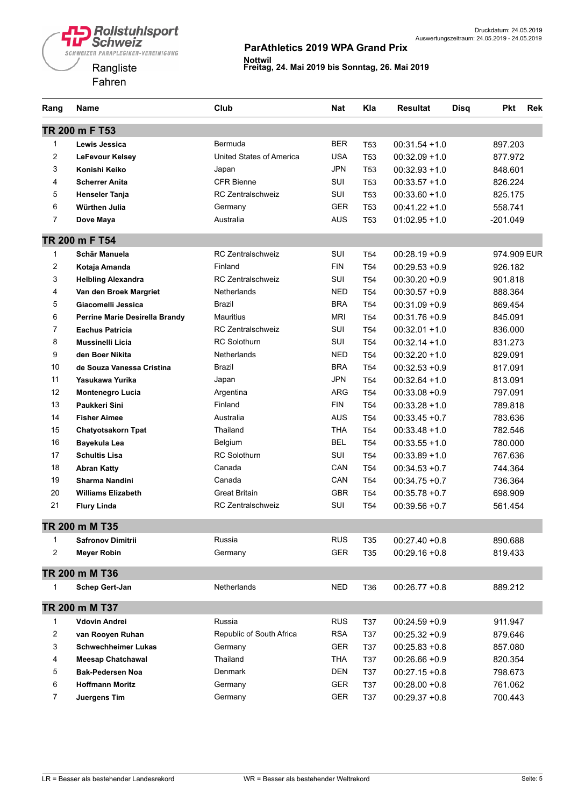

| Rang           | <b>Name</b>                    | Club                     | <b>Nat</b> | Kla             | <b>Resultat</b>  | <b>Disq</b> | <b>Pkt</b>  | <b>Rek</b> |
|----------------|--------------------------------|--------------------------|------------|-----------------|------------------|-------------|-------------|------------|
|                | TR 200 m F T53                 |                          |            |                 |                  |             |             |            |
| $\mathbf{1}$   | Lewis Jessica                  | Bermuda                  | <b>BER</b> | T <sub>53</sub> | $00:31.54 + 1.0$ |             | 897.203     |            |
| $\overline{2}$ | LeFevour Kelsey                | United States of America | <b>USA</b> | T <sub>53</sub> | $00:32.09 + 1.0$ |             | 877.972     |            |
| 3              | Konishi Keiko                  | Japan                    | <b>JPN</b> | T <sub>53</sub> | $00:32.93 + 1.0$ |             | 848.601     |            |
| 4              | <b>Scherrer Anita</b>          | <b>CFR Bienne</b>        | SUI        | T <sub>53</sub> | $00:33.57 + 1.0$ |             | 826.224     |            |
| 5              | <b>Henseler Tanja</b>          | <b>RC Zentralschweiz</b> | SUI        | T <sub>53</sub> | $00:33.60 + 1.0$ |             | 825.175     |            |
| 6              | Würthen Julia                  | Germany                  | <b>GER</b> | T53             | $00:41.22 + 1.0$ |             | 558.741     |            |
| $\overline{7}$ | Dove Maya                      | Australia                | <b>AUS</b> | T53             | $01:02.95 + 1.0$ |             | $-201.049$  |            |
|                | TR 200 m F T54                 |                          |            |                 |                  |             |             |            |
| 1              | Schär Manuela                  | <b>RC Zentralschweiz</b> | SUI        | T <sub>54</sub> | $00:28.19 + 0.9$ |             | 974.909 EUR |            |
| $\overline{c}$ | Kotaja Amanda                  | Finland                  | <b>FIN</b> | T <sub>54</sub> | $00:29.53 + 0.9$ |             | 926.182     |            |
| 3              | <b>Helbling Alexandra</b>      | <b>RC Zentralschweiz</b> | SUI        | T <sub>54</sub> | $00:30.20 + 0.9$ |             | 901.818     |            |
| 4              | Van den Broek Margriet         | Netherlands              | <b>NED</b> | T <sub>54</sub> | $00:30.57 +0.9$  |             | 888.364     |            |
| 5              | Giacomelli Jessica             | Brazil                   | <b>BRA</b> | T <sub>54</sub> | $00:31.09 + 0.9$ |             | 869.454     |            |
| 6              | Perrine Marie Desirella Brandy | <b>Mauritius</b>         | MRI        | T <sub>54</sub> | $00:31.76 + 0.9$ |             | 845.091     |            |
| $\overline{7}$ | <b>Eachus Patricia</b>         | <b>RC Zentralschweiz</b> | SUI        | T <sub>54</sub> | $00:32.01 + 1.0$ |             | 836.000     |            |
| 8              | <b>Mussinelli Licia</b>        | <b>RC</b> Solothurn      | SUI        | T <sub>54</sub> | $00:32.14 + 1.0$ |             | 831.273     |            |
| 9              | den Boer Nikita                | <b>Netherlands</b>       | <b>NED</b> | T <sub>54</sub> | $00:32.20 + 1.0$ |             | 829.091     |            |
| 10             | de Souza Vanessa Cristina      | Brazil                   | <b>BRA</b> | T <sub>54</sub> | $00:32.53 + 0.9$ |             | 817.091     |            |
| 11             | Yasukawa Yurika                | Japan                    | <b>JPN</b> | T <sub>54</sub> | $00:32.64 + 1.0$ |             | 813.091     |            |
| 12             | Montenegro Lucia               | Argentina                | <b>ARG</b> | T <sub>54</sub> | $00:33.08 + 0.9$ |             | 797.091     |            |
| 13             | Paukkeri Sini                  | Finland                  | <b>FIN</b> | T <sub>54</sub> | $00:33.28 + 1.0$ |             | 789.818     |            |
| 14             | <b>Fisher Aimee</b>            | Australia                | <b>AUS</b> | T <sub>54</sub> | $00:33.45 + 0.7$ |             | 783.636     |            |
| 15             | <b>Chatyotsakorn Tpat</b>      | Thailand                 | <b>THA</b> | T <sub>54</sub> | $00:33.48 + 1.0$ |             | 782.546     |            |
| 16             | Bayekula Lea                   | Belgium                  | <b>BEL</b> | T <sub>54</sub> | $00:33.55 + 1.0$ |             | 780.000     |            |
| 17             | <b>Schultis Lisa</b>           | <b>RC Solothurn</b>      | SUI        | T <sub>54</sub> | $00:33.89 + 1.0$ |             | 767.636     |            |
| 18             | <b>Abran Katty</b>             | Canada                   | CAN        | T <sub>54</sub> | $00:34.53 + 0.7$ |             | 744.364     |            |
| 19             | <b>Sharma Nandini</b>          | Canada                   | CAN        | T <sub>54</sub> | $00:34.75 + 0.7$ |             | 736.364     |            |
| 20             | <b>Williams Elizabeth</b>      | <b>Great Britain</b>     | <b>GBR</b> | T <sub>54</sub> | $00:35.78 + 0.7$ |             | 698.909     |            |
| 21             | <b>Flury Linda</b>             | <b>RC Zentralschweiz</b> | SUI        | T <sub>54</sub> | $00:39.56 + 0.7$ |             | 561.454     |            |
|                | TR 200 m M T35                 |                          |            |                 |                  |             |             |            |
| 1              | <b>Safronov Dimitrii</b>       | Russia                   | <b>RUS</b> | T35             | $00:27.40 + 0.8$ |             | 890.688     |            |
| $\overline{2}$ | <b>Meyer Robin</b>             | Germany                  | <b>GER</b> | T35             | $00:29.16 + 0.8$ |             | 819.433     |            |
|                | TR 200 m M T36                 |                          |            |                 |                  |             |             |            |
| 1              | <b>Schep Gert-Jan</b>          | Netherlands              | <b>NED</b> | T36             | $00:26.77 + 0.8$ |             | 889.212     |            |
|                | TR 200 m M T37                 |                          |            |                 |                  |             |             |            |
| $\mathbf{1}$   | <b>Vdovin Andrei</b>           | Russia                   | <b>RUS</b> | T37             | $00:24.59 + 0.9$ |             | 911.947     |            |
| 2              | van Rooyen Ruhan               | Republic of South Africa | <b>RSA</b> | T37             | $00:25.32 + 0.9$ |             | 879.646     |            |
| 3              | <b>Schwechheimer Lukas</b>     | Germany                  | <b>GER</b> | T37             | $00:25.83 + 0.8$ |             | 857.080     |            |
| 4              | <b>Meesap Chatchawal</b>       | Thailand                 | THA        | T37             | $00:26.66 + 0.9$ |             | 820.354     |            |
| 5              | <b>Bak-Pedersen Noa</b>        | Denmark                  | <b>DEN</b> | T37             | $00:27.15 + 0.8$ |             | 798.673     |            |
| 6              | <b>Hoffmann Moritz</b>         | Germany                  | GER        | T37             | $00:28.00 + 0.8$ |             | 761.062     |            |
| $\overline{7}$ | Juergens Tim                   | Germany                  | GER        | T37             | $00:29.37 + 0.8$ |             | 700.443     |            |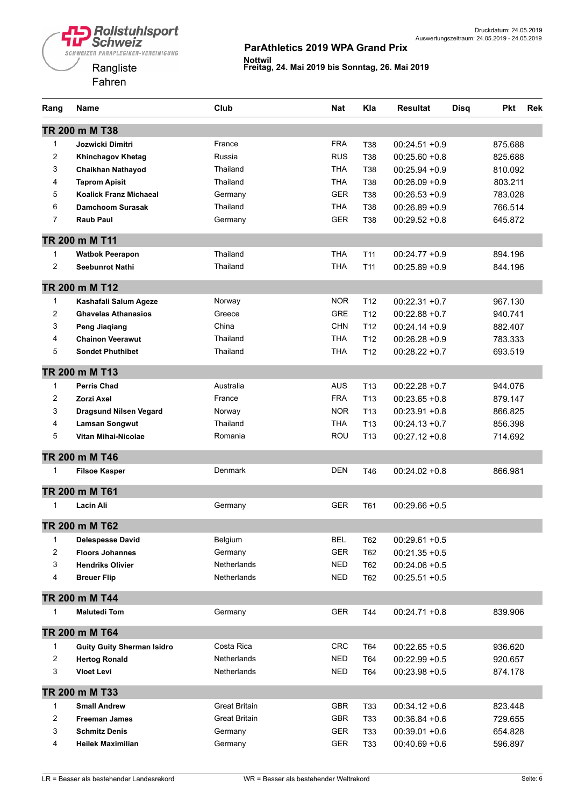

| Rang         | Name                              | Club                 | <b>Nat</b> | Kla             | <b>Resultat</b>  | <b>Disq</b> | <b>Pkt</b> | <b>Rek</b> |
|--------------|-----------------------------------|----------------------|------------|-----------------|------------------|-------------|------------|------------|
|              | TR 200 m M T38                    |                      |            |                 |                  |             |            |            |
| 1            | Jozwicki Dimitri                  | France               | <b>FRA</b> | <b>T38</b>      | $00:24.51 + 0.9$ |             | 875.688    |            |
| 2            | <b>Khinchagov Khetag</b>          | Russia               | <b>RUS</b> | <b>T38</b>      | $00:25.60 + 0.8$ |             | 825.688    |            |
| 3            | <b>Chaikhan Nathayod</b>          | Thailand             | <b>THA</b> | <b>T38</b>      | $00:25.94 + 0.9$ |             | 810.092    |            |
| 4            | <b>Taprom Apisit</b>              | Thailand             | <b>THA</b> | <b>T38</b>      | $00:26.09 + 0.9$ |             | 803.211    |            |
| 5            | <b>Koalick Franz Michaeal</b>     | Germany              | <b>GER</b> | <b>T38</b>      | $00:26.53 + 0.9$ |             | 783.028    |            |
| 6            | <b>Damchoom Surasak</b>           | Thailand             | <b>THA</b> | T38             | $00:26.89 + 0.9$ |             | 766.514    |            |
| 7            | <b>Raub Paul</b>                  | Germany              | <b>GER</b> | T38             | $00:29.52 + 0.8$ |             | 645.872    |            |
|              | TR 200 m M T11                    |                      |            |                 |                  |             |            |            |
| 1            | <b>Watbok Peerapon</b>            | Thailand             | THA        | T <sub>11</sub> | $00:24.77 + 0.9$ |             | 894.196    |            |
| 2            | <b>Seebunrot Nathi</b>            | Thailand             | <b>THA</b> | T <sub>11</sub> | $00:25.89 + 0.9$ |             | 844.196    |            |
|              | TR 200 m M T12                    |                      |            |                 |                  |             |            |            |
| $\mathbf{1}$ | Kashafali Salum Ageze             | Norway               | NOR.       | T <sub>12</sub> | $00:22.31 + 0.7$ |             | 967.130    |            |
| 2            | <b>Ghavelas Athanasios</b>        | Greece               | GRE        | T <sub>12</sub> | $00:22.88 + 0.7$ |             | 940.741    |            |
| 3            | <b>Peng Jiaqiang</b>              | China                | <b>CHN</b> | T <sub>12</sub> | $00:24.14 + 0.9$ |             | 882.407    |            |
| 4            | <b>Chainon Veerawut</b>           | Thailand             | <b>THA</b> | T <sub>12</sub> | $00:26.28 + 0.9$ |             | 783.333    |            |
| 5            | <b>Sondet Phuthibet</b>           | Thailand             | <b>THA</b> | T <sub>12</sub> | $00:28.22 + 0.7$ |             | 693.519    |            |
|              | TR 200 m M T13                    |                      |            |                 |                  |             |            |            |
| 1            | <b>Perris Chad</b>                | Australia            | <b>AUS</b> | T <sub>13</sub> | $00:22.28 + 0.7$ |             | 944.076    |            |
| 2            | Zorzi Axel                        | France               | <b>FRA</b> | T <sub>13</sub> | $00:23.65 + 0.8$ |             | 879.147    |            |
| 3            | <b>Dragsund Nilsen Vegard</b>     | Norway               | <b>NOR</b> | T <sub>13</sub> | $00:23.91 + 0.8$ |             | 866.825    |            |
| 4            | <b>Lamsan Songwut</b>             | Thailand             | <b>THA</b> | T <sub>13</sub> | $00:24.13 + 0.7$ |             | 856.398    |            |
| 5            | Vitan Mihai-Nicolae               | Romania              | ROU        | T <sub>13</sub> | $00:27.12 + 0.8$ |             | 714.692    |            |
|              | TR 200 m M T46                    |                      |            |                 |                  |             |            |            |
| 1            | <b>Filsoe Kasper</b>              | Denmark              | DEN        | T46             | $00:24.02 + 0.8$ |             | 866.981    |            |
|              | TR 200 m M T61                    |                      |            |                 |                  |             |            |            |
| 1            | Lacin Ali                         | Germany              | GER        | T61             | $00:29.66 + 0.5$ |             |            |            |
|              | TR 200 m M T62                    |                      |            |                 |                  |             |            |            |
| 1            | <b>Delespesse David</b>           | Belgium              | <b>BEL</b> | T62             | $00:29.61 + 0.5$ |             |            |            |
| 2            | <b>Floors Johannes</b>            | Germany              | <b>GER</b> | T62             | $00:21.35 + 0.5$ |             |            |            |
| 3            | <b>Hendriks Olivier</b>           | Netherlands          | <b>NED</b> | T62             | $00:24.06 + 0.5$ |             |            |            |
| 4            | <b>Breuer Flip</b>                | <b>Netherlands</b>   | <b>NED</b> | T62             | $00:25.51 + 0.5$ |             |            |            |
|              | TR 200 m M T44                    |                      |            |                 |                  |             |            |            |
| 1            | <b>Malutedi Tom</b>               | Germany              | <b>GER</b> | T44             | $00:24.71 + 0.8$ |             | 839.906    |            |
|              | TR 200 m M T64                    |                      |            |                 |                  |             |            |            |
| 1            | <b>Guity Guity Sherman Isidro</b> | Costa Rica           | <b>CRC</b> | T64             | $00:22.65 + 0.5$ |             | 936.620    |            |
| 2            | <b>Hertog Ronald</b>              | Netherlands          | <b>NED</b> | T64             | $00:22.99 + 0.5$ |             | 920.657    |            |
| 3            | <b>Vloet Levi</b>                 | Netherlands          | <b>NED</b> | T64             | $00:23.98 + 0.5$ |             | 874.178    |            |
|              | TR 200 m M T33                    |                      |            |                 |                  |             |            |            |
| 1            | <b>Small Andrew</b>               | <b>Great Britain</b> | <b>GBR</b> | T33             | $00:34.12 + 0.6$ |             | 823.448    |            |
| 2            | <b>Freeman James</b>              | <b>Great Britain</b> | <b>GBR</b> | T33             | $00:36.84 + 0.6$ |             | 729.655    |            |
| 3            | <b>Schmitz Denis</b>              | Germany              | <b>GER</b> | T33             | $00:39.01 + 0.6$ |             | 654.828    |            |
| 4            | <b>Heilek Maximilian</b>          | Germany              | <b>GER</b> | T33             | $00:40.69 + 0.6$ |             | 596.897    |            |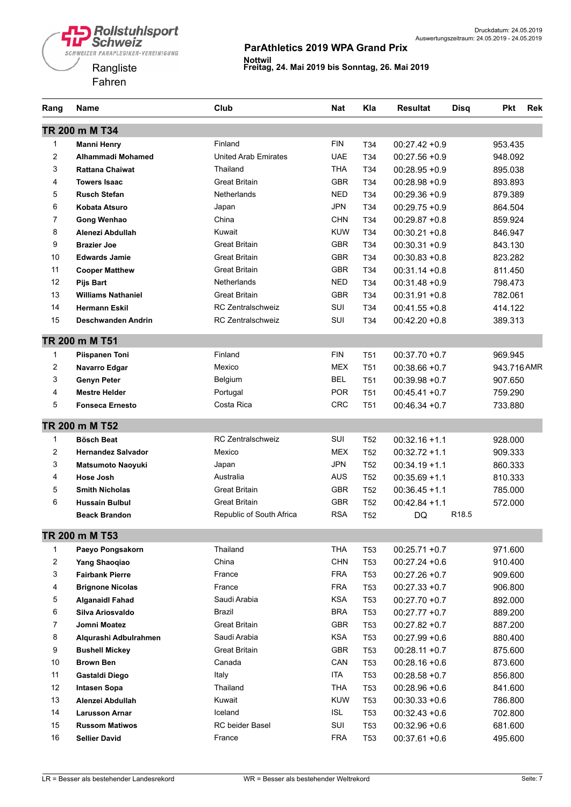

| Rang           | Name                      | Club                        | Nat        | Kla             | Resultat         | <b>Disq</b>       | Pkt         | <b>Rek</b> |
|----------------|---------------------------|-----------------------------|------------|-----------------|------------------|-------------------|-------------|------------|
|                | TR 200 m M T34            |                             |            |                 |                  |                   |             |            |
| 1              | <b>Manni Henry</b>        | Finland                     | <b>FIN</b> | T <sub>34</sub> | $00:27.42 + 0.9$ |                   | 953.435     |            |
| 2              | Alhammadi Mohamed         | <b>United Arab Emirates</b> | <b>UAE</b> | T <sub>34</sub> | $00:27.56 + 0.9$ |                   | 948.092     |            |
| 3              | <b>Rattana Chaiwat</b>    | Thailand                    | THA        | T <sub>34</sub> | $00:28.95 + 0.9$ |                   | 895.038     |            |
| 4              | <b>Towers Isaac</b>       | <b>Great Britain</b>        | <b>GBR</b> | T <sub>34</sub> | $00:28.98 + 0.9$ |                   | 893.893     |            |
| 5              | <b>Rusch Stefan</b>       | <b>Netherlands</b>          | <b>NED</b> | T34             | $00:29.36 + 0.9$ |                   | 879.389     |            |
| 6              | Kobata Atsuro             | Japan                       | <b>JPN</b> | T34             | $00:29.75 + 0.9$ |                   | 864.504     |            |
| $\overline{7}$ | <b>Gong Wenhao</b>        | China                       | <b>CHN</b> | T <sub>34</sub> | $00:29.87 + 0.8$ |                   | 859.924     |            |
| 8              | Alenezi Abdullah          | Kuwait                      | <b>KUW</b> | T <sub>34</sub> | $00:30.21 + 0.8$ |                   | 846.947     |            |
| 9              | <b>Brazier Joe</b>        | <b>Great Britain</b>        | <b>GBR</b> | T <sub>34</sub> | $00:30.31 + 0.9$ |                   | 843.130     |            |
| 10             | <b>Edwards Jamie</b>      | <b>Great Britain</b>        | <b>GBR</b> | T <sub>34</sub> | $00:30.83 + 0.8$ |                   | 823.282     |            |
| 11             | <b>Cooper Matthew</b>     | <b>Great Britain</b>        | <b>GBR</b> | T <sub>34</sub> | $00:31.14 + 0.8$ |                   | 811.450     |            |
| 12             | <b>Pijs Bart</b>          | <b>Netherlands</b>          | <b>NED</b> | T34             | $00:31.48 + 0.9$ |                   | 798.473     |            |
| 13             | <b>Williams Nathaniel</b> | <b>Great Britain</b>        | <b>GBR</b> | T34             | $00:31.91 + 0.8$ |                   | 782.061     |            |
| 14             | <b>Hermann Eskil</b>      | <b>RC Zentralschweiz</b>    | SUI        | T34             | $00:41.55 + 0.8$ |                   | 414.122     |            |
| 15             | Deschwanden Andrin        | <b>RC Zentralschweiz</b>    | SUI        | T34             | $00:42.20 + 0.8$ |                   | 389.313     |            |
|                | TR 200 m M T51            |                             |            |                 |                  |                   |             |            |
| 1              | Piispanen Toni            | Finland                     | <b>FIN</b> | T <sub>51</sub> | $00:37.70 + 0.7$ |                   | 969.945     |            |
| 2              | Navarro Edgar             | Mexico                      | <b>MEX</b> | T <sub>51</sub> | $00:38.66 + 0.7$ |                   | 943.716 AMR |            |
| 3              | <b>Genyn Peter</b>        | Belgium                     | <b>BEL</b> | T <sub>51</sub> | $00:39.98 + 0.7$ |                   | 907.650     |            |
| 4              | <b>Mestre Helder</b>      | Portugal                    | <b>POR</b> | T <sub>51</sub> | $00:45.41 + 0.7$ |                   | 759.290     |            |
| 5              | <b>Fonseca Ernesto</b>    | Costa Rica                  | <b>CRC</b> | T <sub>51</sub> | $00:46.34 + 0.7$ |                   | 733.880     |            |
|                | TR 200 m M T52            |                             |            |                 |                  |                   |             |            |
| 1              | <b>Bösch Beat</b>         | <b>RC Zentralschweiz</b>    | SUI        | T <sub>52</sub> | $00:32.16 + 1.1$ |                   | 928.000     |            |
| 2              | <b>Hernandez Salvador</b> | Mexico                      | <b>MEX</b> | T <sub>52</sub> | $00:32.72 +1.1$  |                   | 909.333     |            |
| 3              | <b>Matsumoto Naoyuki</b>  | Japan                       | <b>JPN</b> | T <sub>52</sub> | $00:34.19 + 1.1$ |                   | 860.333     |            |
| 4              | Hose Josh                 | Australia                   | AUS        | T <sub>52</sub> | $00:35.69 + 1.1$ |                   | 810.333     |            |
| 5              | <b>Smith Nicholas</b>     | <b>Great Britain</b>        | <b>GBR</b> | T <sub>52</sub> | $00:36.45 + 1.1$ |                   | 785.000     |            |
| 6              | <b>Hussain Bulbul</b>     | <b>Great Britain</b>        | <b>GBR</b> | T <sub>52</sub> | $00:42.84 + 1.1$ |                   | 572.000     |            |
|                | <b>Beack Brandon</b>      | Republic of South Africa    | <b>RSA</b> | T <sub>52</sub> | DQ               | R <sub>18.5</sub> |             |            |
|                | TR 200 m M T53            |                             |            |                 |                  |                   |             |            |
| 1              | Paeyo Pongsakorn          | Thailand                    | <b>THA</b> | T <sub>53</sub> | $00:25.71 + 0.7$ |                   | 971.600     |            |
| 2              | Yang Shaogiao             | China                       | <b>CHN</b> | T <sub>53</sub> | $00:27.24 + 0.6$ |                   | 910.400     |            |
| 3              | <b>Fairbank Pierre</b>    | France                      | <b>FRA</b> | T <sub>53</sub> | $00:27.26 + 0.7$ |                   | 909.600     |            |
| 4              | <b>Brignone Nicolas</b>   | France                      | <b>FRA</b> | T <sub>53</sub> | $00:27.33 + 0.7$ |                   | 906.800     |            |
| 5              | <b>Alganaidl Fahad</b>    | Saudi Arabia                | <b>KSA</b> | T <sub>53</sub> | $00:27.70 + 0.7$ |                   | 892.000     |            |
| 6              | Silva Ariosvaldo          | Brazil                      | <b>BRA</b> | T <sub>53</sub> | $00:27.77 + 0.7$ |                   | 889.200     |            |
| 7              | Jomni Moatez              | Great Britain               | <b>GBR</b> | T <sub>53</sub> | $00:27.82 + 0.7$ |                   | 887.200     |            |
| 8              | Alqurashi Adbulrahmen     | Saudi Arabia                | <b>KSA</b> | <b>T53</b>      | $00:27.99 + 0.6$ |                   | 880.400     |            |
| 9              | <b>Bushell Mickey</b>     | <b>Great Britain</b>        | <b>GBR</b> | T <sub>53</sub> | $00:28.11 + 0.7$ |                   | 875.600     |            |
| 10             | <b>Brown Ben</b>          | Canada                      | CAN        | T <sub>53</sub> | $00:28.16 + 0.6$ |                   | 873.600     |            |
| 11             | Gastaldi Diego            | Italy                       | ITA        | T <sub>53</sub> | $00:28.58 + 0.7$ |                   | 856.800     |            |
| 12             | <b>Intasen Sopa</b>       | Thailand                    | <b>THA</b> | T <sub>53</sub> | $00:28.96 + 0.6$ |                   | 841.600     |            |
| 13             | Alenzei Abdullah          | Kuwait                      | <b>KUW</b> | T <sub>53</sub> | $00:30.33 + 0.6$ |                   | 786.800     |            |
| 14             | <b>Larusson Arnar</b>     | Iceland                     | ISL        | T <sub>53</sub> | $00:32.43 + 0.6$ |                   | 702.800     |            |
| 15             | <b>Russom Matiwos</b>     | RC beider Basel             | SUI        | T <sub>53</sub> | $00:32.96 + 0.6$ |                   | 681.600     |            |
| 16             | <b>Sellier David</b>      | France                      | <b>FRA</b> | <b>T53</b>      | $00:37.61 + 0.6$ |                   | 495.600     |            |
|                |                           |                             |            |                 |                  |                   |             |            |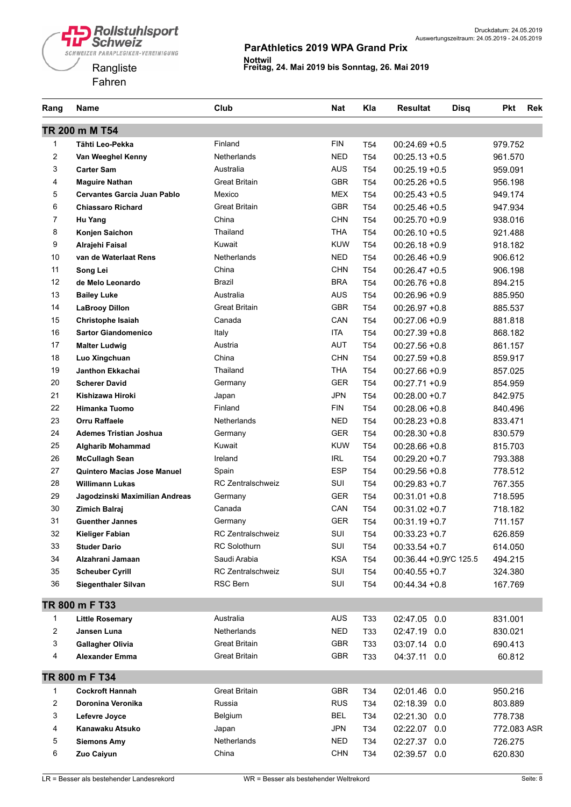



| Rang           | Name                               | Club                              | <b>Nat</b> | Kla             | <b>Resultat</b><br><b>Disq</b> | <b>Pkt</b>  | <b>Rek</b> |
|----------------|------------------------------------|-----------------------------------|------------|-----------------|--------------------------------|-------------|------------|
|                | TR 200 m M T54                     |                                   |            |                 |                                |             |            |
| 1              | Tähti Leo-Pekka                    | Finland                           | <b>FIN</b> | T <sub>54</sub> | $00:24.69 + 0.5$               | 979.752     |            |
| $\overline{c}$ | Van Weeghel Kenny                  | <b>Netherlands</b>                | <b>NED</b> | T <sub>54</sub> | $00:25.13 + 0.5$               | 961.570     |            |
| 3              | <b>Carter Sam</b>                  | Australia                         | <b>AUS</b> | T <sub>54</sub> | $00:25.19 + 0.5$               | 959.091     |            |
| 4              | <b>Maguire Nathan</b>              | <b>Great Britain</b>              | <b>GBR</b> | T <sub>54</sub> | $00:25.26 + 0.5$               | 956.198     |            |
| 5              | <b>Cervantes Garcia Juan Pablo</b> | Mexico                            | <b>MEX</b> | T <sub>54</sub> | $00:25.43 + 0.5$               | 949.174     |            |
| 6              | <b>Chiassaro Richard</b>           | <b>Great Britain</b>              | <b>GBR</b> | T <sub>54</sub> | $00:25.46 + 0.5$               | 947.934     |            |
| $\overline{7}$ | Hu Yang                            | China                             | <b>CHN</b> | T <sub>54</sub> | $00:25.70 +0.9$                | 938.016     |            |
| 8              | Konjen Saichon                     | Thailand                          | <b>THA</b> | T <sub>54</sub> | $00:26.10 + 0.5$               | 921.488     |            |
| 9              | Alrajehi Faisal                    | Kuwait                            | <b>KUW</b> | T54             | $00:26.18 + 0.9$               | 918.182     |            |
| 10             | van de Waterlaat Rens              | <b>Netherlands</b>                | <b>NED</b> | T <sub>54</sub> | $00:26.46 + 0.9$               | 906.612     |            |
| 11             | Song Lei                           | China                             | <b>CHN</b> | T <sub>54</sub> | $00:26.47 + 0.5$               | 906.198     |            |
| 12             | de Melo Leonardo                   | Brazil                            | <b>BRA</b> | T54             | $00:26.76 + 0.8$               | 894.215     |            |
| 13             | <b>Bailey Luke</b>                 | Australia                         | <b>AUS</b> | T <sub>54</sub> | $00:26.96 + 0.9$               | 885.950     |            |
| 14             | <b>LaBrooy Dillon</b>              | <b>Great Britain</b>              | <b>GBR</b> | T <sub>54</sub> | $00:26.97 + 0.8$               | 885.537     |            |
| 15             | <b>Christophe Isaiah</b>           | Canada                            | CAN        | T <sub>54</sub> | $00:27.06 + 0.9$               | 881.818     |            |
| 16             | <b>Sartor Giandomenico</b>         | Italy                             | <b>ITA</b> | T <sub>54</sub> | $00:27.39 + 0.8$               | 868.182     |            |
| 17             | <b>Malter Ludwig</b>               | Austria                           | <b>AUT</b> | T <sub>54</sub> | $00:27.56 + 0.8$               | 861.157     |            |
| 18             | Luo Xingchuan                      | China                             | <b>CHN</b> | T <sub>54</sub> | $00:27.59 + 0.8$               | 859.917     |            |
| 19             | <b>Janthon Ekkachai</b>            | Thailand                          | <b>THA</b> | T <sub>54</sub> | $00:27.66 + 0.9$               | 857.025     |            |
| 20             | <b>Scherer David</b>               | Germany                           | <b>GER</b> | T <sub>54</sub> | $00:27.71 + 0.9$               | 854.959     |            |
| 21             | Kishizawa Hiroki                   | Japan                             | <b>JPN</b> | T <sub>54</sub> | $00:28.00 + 0.7$               | 842.975     |            |
| 22             | <b>Himanka Tuomo</b>               | Finland                           | <b>FIN</b> | T <sub>54</sub> | $00:28.06 + 0.8$               | 840.496     |            |
| 23             | <b>Orru Raffaele</b>               | Netherlands                       | <b>NED</b> | T54             | $00:28.23 + 0.8$               | 833.471     |            |
| 24             | <b>Ademes Tristian Joshua</b>      | Germany                           | <b>GER</b> | T54             | $00:28.30 + 0.8$               | 830.579     |            |
| 25             | <b>Algharib Mohammad</b>           | Kuwait                            | <b>KUW</b> | T <sub>54</sub> | $00:28.66 + 0.8$               | 815.703     |            |
| 26             | <b>McCullagh Sean</b>              | Ireland                           | IRL        | T <sub>54</sub> | $00:29.20 + 0.7$               | 793.388     |            |
| 27             | <b>Quintero Macias Jose Manuel</b> | Spain                             | <b>ESP</b> | T <sub>54</sub> | $00:29.56 + 0.8$               | 778.512     |            |
| 28             | <b>Willimann Lukas</b>             | <b>RC Zentralschweiz</b>          | SUI        | T <sub>54</sub> | $00:29.83 + 0.7$               | 767.355     |            |
| 29             | Jagodzinski Maximilian Andreas     | Germany                           | <b>GER</b> | T <sub>54</sub> | $00:31.01 + 0.8$               | 718.595     |            |
| 30             | <b>Zimich Balraj</b>               | Canada                            | CAN        | T <sub>54</sub> | $00:31.02 +0.7$                | 718.182     |            |
| 31             | <b>Guenther Jannes</b>             | Germany                           | <b>GER</b> | T54             | $00:31.19 + 0.7$               | 711.157     |            |
| 32             |                                    | RC Zentralschweiz                 | SUI        |                 |                                |             |            |
| 33             | Kieliger Fabian                    | <b>RC Solothurn</b>               | SUI        | T <sub>54</sub> | $00:33.23 + 0.7$               | 626.859     |            |
|                | <b>Studer Dario</b>                |                                   |            | T <sub>54</sub> | $00:33.54 + 0.7$               | 614.050     |            |
| 34             | Alzahrani Jamaan                   | Saudi Arabia<br>RC Zentralschweiz | <b>KSA</b> | T <sub>54</sub> | 00:36.44 + 0.9YC 125.5         | 494.215     |            |
| 35             | <b>Scheuber Cyrill</b>             | RSC Bern                          | SUI<br>SUI | T54             | $00:40.55 + 0.7$               | 324.380     |            |
| 36             | Siegenthaler Silvan                |                                   |            | T54             | $00:44.34 + 0.8$               | 167.769     |            |
|                | TR 800 m F T33                     |                                   |            |                 |                                |             |            |
| 1              | <b>Little Rosemary</b>             | Australia                         | AUS        | T33             | 02:47.05<br>0.0                | 831.001     |            |
| 2              | Jansen Luna                        | <b>Netherlands</b>                | <b>NED</b> | T33             | 02:47.19 0.0                   | 830.021     |            |
| 3              | <b>Gallagher Olivia</b>            | Great Britain                     | <b>GBR</b> | T33             | 03:07.14 0.0                   | 690.413     |            |
| 4              | <b>Alexander Emma</b>              | <b>Great Britain</b>              | GBR        | T33             | 04:37.11 0.0                   | 60.812      |            |
|                | TR 800 m F T34                     |                                   |            |                 |                                |             |            |
| 1              | <b>Cockroft Hannah</b>             | <b>Great Britain</b>              | GBR        | T34             | 02:01.46 0.0                   | 950.216     |            |
| 2              | Doronina Veronika                  | Russia                            | <b>RUS</b> | T34             | 02:18.39 0.0                   | 803.889     |            |
| 3              | Lefevre Joyce                      | Belgium                           | <b>BEL</b> | T34             | 02:21.30 0.0                   | 778.738     |            |
| 4              | Kanawaku Atsuko                    | Japan                             | <b>JPN</b> | T34             | 02:22.07 0.0                   | 772.083 ASR |            |
| 5              | <b>Siemons Amy</b>                 | <b>Netherlands</b>                | <b>NED</b> | T34             | 02:27.37 0.0                   | 726.275     |            |
| 6              | Zuo Caiyun                         | China                             | <b>CHN</b> | T34             | 02:39.57 0.0                   | 620.830     |            |
|                |                                    |                                   |            |                 |                                |             |            |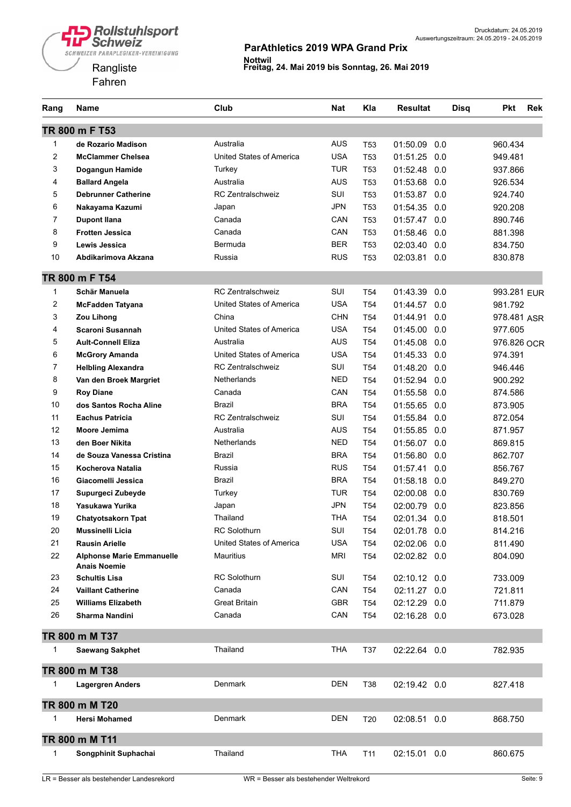

| Rang           | Name                                                    | Club                            | <b>Nat</b> | Kla             | <b>Resultat</b> | <b>Disq</b> | <b>Pkt</b>  | <b>Rek</b> |
|----------------|---------------------------------------------------------|---------------------------------|------------|-----------------|-----------------|-------------|-------------|------------|
|                | TR 800 m F T53                                          |                                 |            |                 |                 |             |             |            |
| 1              | de Rozario Madison                                      | Australia                       | <b>AUS</b> | <b>T53</b>      | 01:50.09        | 0.0         | 960.434     |            |
| $\overline{c}$ | <b>McClammer Chelsea</b>                                | United States of America        | <b>USA</b> | T <sub>53</sub> | 01:51.25        | 0.0         | 949.481     |            |
| 3              | Dogangun Hamide                                         | Turkey                          | <b>TUR</b> | T <sub>53</sub> | 01:52.48        | 0.0         | 937.866     |            |
| 4              | <b>Ballard Angela</b>                                   | Australia                       | <b>AUS</b> | T <sub>53</sub> | 01:53.68        | 0.0         | 926.534     |            |
| 5              | <b>Debrunner Catherine</b>                              | <b>RC Zentralschweiz</b>        | SUI        | <b>T53</b>      | 01:53.87        | 0.0         | 924.740     |            |
| 6              | Nakayama Kazumi                                         | Japan                           | <b>JPN</b> | <b>T53</b>      | 01:54.35        | 0.0         | 920.208     |            |
| $\overline{7}$ | <b>Dupont Ilana</b>                                     | Canada                          | CAN        | T <sub>53</sub> | 01:57.47        | 0.0         | 890.746     |            |
| 8              | <b>Frotten Jessica</b>                                  | Canada                          | CAN        | <b>T53</b>      | 01:58.46        | 0.0         | 881.398     |            |
| 9              | Lewis Jessica                                           | Bermuda                         | <b>BER</b> | T <sub>53</sub> | 02:03.40        | 0.0         | 834.750     |            |
| 10             | Abdikarimova Akzana                                     | Russia                          | <b>RUS</b> | T53             | 02:03.81        | 0.0         | 830.878     |            |
|                | TR 800 m F T54                                          |                                 |            |                 |                 |             |             |            |
| $\mathbf{1}$   | Schär Manuela                                           | <b>RC Zentralschweiz</b>        | <b>SUI</b> | T <sub>54</sub> | 01:43.39        | 0.0         | 993.281 EUR |            |
| $\overline{c}$ | <b>McFadden Tatyana</b>                                 | United States of America        | <b>USA</b> | T <sub>54</sub> | 01:44.57        | 0.0         | 981.792     |            |
| 3              | Zou Lihong                                              | China                           | <b>CHN</b> | T <sub>54</sub> | 01:44.91        | 0.0         | 978.481 ASR |            |
| 4              | Scaroni Susannah                                        | United States of America        | <b>USA</b> | T <sub>54</sub> | 01:45.00        | 0.0         | 977.605     |            |
| 5              | <b>Ault-Connell Eliza</b>                               | Australia                       | <b>AUS</b> | T <sub>54</sub> | 01:45.08        | 0.0         | 976.826 OCR |            |
| 6              | <b>McGrory Amanda</b>                                   | <b>United States of America</b> | <b>USA</b> | T <sub>54</sub> | 01:45.33        | 0.0         | 974.391     |            |
| $\overline{7}$ | <b>Helbling Alexandra</b>                               | <b>RC Zentralschweiz</b>        | SUI        | T <sub>54</sub> | 01:48.20        | 0.0         | 946.446     |            |
| 8              | Van den Broek Margriet                                  | Netherlands                     | <b>NED</b> | T <sub>54</sub> | 01:52.94        | 0.0         | 900.292     |            |
| 9              | <b>Roy Diane</b>                                        | Canada                          | CAN        | T <sub>54</sub> | 01:55.58        | 0.0         | 874.586     |            |
| 10             | dos Santos Rocha Aline                                  | Brazil                          | <b>BRA</b> | T <sub>54</sub> | 01:55.65        | 0.0         | 873.905     |            |
| 11             | <b>Eachus Patricia</b>                                  | <b>RC Zentralschweiz</b>        | SUI        | T <sub>54</sub> | 01:55.84        | 0.0         | 872.054     |            |
| 12             | Moore Jemima                                            | Australia                       | <b>AUS</b> | T <sub>54</sub> | 01:55.85        | 0.0         | 871.957     |            |
| 13             | den Boer Nikita                                         | Netherlands                     | <b>NED</b> | T <sub>54</sub> | 01:56.07        | 0.0         | 869.815     |            |
| 14             | de Souza Vanessa Cristina                               | Brazil                          | <b>BRA</b> | T <sub>54</sub> | 01:56.80        | 0.0         | 862.707     |            |
| 15             | Kocherova Natalia                                       | Russia                          | <b>RUS</b> | T <sub>54</sub> | 01:57.41        | 0.0         | 856.767     |            |
| 16             | Giacomelli Jessica                                      | Brazil                          | <b>BRA</b> | T <sub>54</sub> | 01:58.18        | 0.0         | 849.270     |            |
| 17             | Supurgeci Zubeyde                                       | Turkey                          | <b>TUR</b> | T <sub>54</sub> | 02:00.08        | 0.0         | 830.769     |            |
| 18             | Yasukawa Yurika                                         | Japan                           | <b>JPN</b> | T <sub>54</sub> | 02:00.79        | 0.0         | 823.856     |            |
| 19             | <b>Chatyotsakorn Tpat</b>                               | Thailand                        | <b>THA</b> | T <sub>54</sub> | 02:01.34        | 0.0         | 818.501     |            |
| 20             | Mussinelli Licia                                        | <b>RC Solothurn</b>             | SUI        | T <sub>54</sub> | 02:01.78 0.0    |             | 814.216     |            |
| 21             | <b>Rausin Arielle</b>                                   | United States of America        | <b>USA</b> | T <sub>54</sub> | 02:02.06 0.0    |             | 811.490     |            |
| 22             | <b>Alphonse Marie Emmanuelle</b><br><b>Anais Noemie</b> | <b>Mauritius</b>                | <b>MRI</b> | T <sub>54</sub> | 02:02.82 0.0    |             | 804.090     |            |
| 23             | <b>Schultis Lisa</b>                                    | <b>RC Solothurn</b>             | SUI        | T54             | 02:10.12 0.0    |             | 733.009     |            |
| 24             | <b>Vaillant Catherine</b>                               | Canada                          | CAN        | T <sub>54</sub> | 02:11.27        | 0.0         | 721.811     |            |
| 25             | <b>Williams Elizabeth</b>                               | <b>Great Britain</b>            | <b>GBR</b> | T <sub>54</sub> | 02:12.29 0.0    |             | 711.879     |            |
| 26             | Sharma Nandini                                          | Canada                          | CAN        | T <sub>54</sub> | 02:16.28 0.0    |             | 673.028     |            |
|                | TR 800 m M T37                                          |                                 |            |                 |                 |             |             |            |
| 1              | <b>Saewang Sakphet</b>                                  | Thailand                        | <b>THA</b> | T37             | 02:22.64 0.0    |             | 782.935     |            |
|                | TR 800 m M T38                                          |                                 |            |                 |                 |             |             |            |
| 1              | <b>Lagergren Anders</b>                                 | Denmark                         | <b>DEN</b> | T38             | 02:19.42 0.0    |             | 827.418     |            |
|                | TR 800 m M T20                                          |                                 |            |                 |                 |             |             |            |
| 1              | <b>Hersi Mohamed</b>                                    | Denmark                         | <b>DEN</b> | T <sub>20</sub> | 02:08.51 0.0    |             | 868.750     |            |
|                | TR 800 m M T11                                          |                                 |            |                 |                 |             |             |            |
| 1              | Songphinit Suphachai                                    | Thailand                        | <b>THA</b> | T11             | 02:15.01 0.0    |             | 860.675     |            |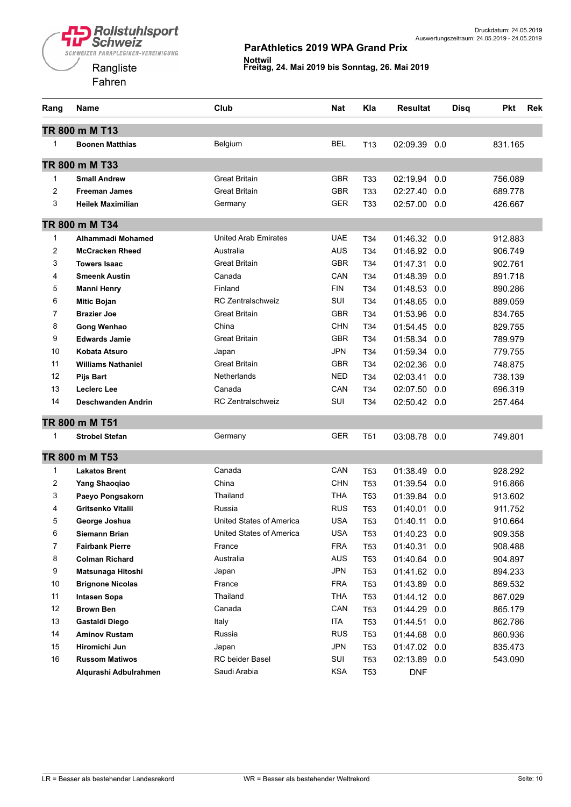



| Rang           | Name                      | Club                        | Nat        | Kla             | Resultat     | <b>Disq</b> | <b>Pkt</b> | <b>Rek</b> |
|----------------|---------------------------|-----------------------------|------------|-----------------|--------------|-------------|------------|------------|
|                | TR 800 m M T13            |                             |            |                 |              |             |            |            |
| 1              | <b>Boonen Matthias</b>    | Belgium                     | <b>BEL</b> | T <sub>13</sub> | 02:09.39     | 0.0         | 831.165    |            |
|                | TR 800 m M T33            |                             |            |                 |              |             |            |            |
| $\mathbf{1}$   | <b>Small Andrew</b>       | <b>Great Britain</b>        | <b>GBR</b> | T <sub>33</sub> | 02:19.94     | 0.0         | 756.089    |            |
| 2              | <b>Freeman James</b>      | <b>Great Britain</b>        | <b>GBR</b> | T33             | 02:27.40     | 0.0         | 689.778    |            |
| 3              | <b>Heilek Maximilian</b>  | Germany                     | GER        | T33             | 02:57.00 0.0 |             | 426.667    |            |
|                | TR 800 m M T34            |                             |            |                 |              |             |            |            |
| 1              | Alhammadi Mohamed         | <b>United Arab Emirates</b> | UAE        | T <sub>34</sub> | 01:46.32     | 0.0         | 912.883    |            |
| 2              | <b>McCracken Rheed</b>    | Australia                   | AUS        | T34             | 01:46.92     | 0.0         | 906.749    |            |
| 3              | <b>Towers Isaac</b>       | <b>Great Britain</b>        | <b>GBR</b> | T <sub>34</sub> | 01:47.31     | 0.0         | 902.761    |            |
| 4              | <b>Smeenk Austin</b>      | Canada                      | CAN        | T <sub>34</sub> | 01:48.39     | 0.0         | 891.718    |            |
| 5              | <b>Manni Henry</b>        | Finland                     | <b>FIN</b> | T34             | 01:48.53     | 0.0         | 890.286    |            |
| 6              | <b>Mitic Bojan</b>        | <b>RC Zentralschweiz</b>    | SUI        | T34             | 01:48.65     | 0.0         | 889.059    |            |
| 7              | <b>Brazier Joe</b>        | <b>Great Britain</b>        | GBR        | T34             | 01:53.96     | 0.0         | 834.765    |            |
| 8              | Gong Wenhao               | China                       | CHN        | T34             | 01:54.45     | 0.0         | 829.755    |            |
| 9              | <b>Edwards Jamie</b>      | <b>Great Britain</b>        | <b>GBR</b> | T34             | 01:58.34     | 0.0         | 789.979    |            |
| 10             | Kobata Atsuro             | Japan                       | <b>JPN</b> | T <sub>34</sub> | 01:59.34     | 0.0         | 779.755    |            |
| 11             | <b>Williams Nathaniel</b> | <b>Great Britain</b>        | <b>GBR</b> | T <sub>34</sub> | 02:02.36     | 0.0         | 748.875    |            |
| 12             | <b>Pijs Bart</b>          | Netherlands                 | NED        | T <sub>34</sub> | 02:03.41     | 0.0         | 738.139    |            |
| 13             | <b>Leclerc Lee</b>        | Canada                      | CAN        | T34             | 02:07.50     | 0.0         | 696.319    |            |
| 14             | Deschwanden Andrin        | <b>RC Zentralschweiz</b>    | SUI        | T34             | 02:50.42 0.0 |             | 257.464    |            |
|                | TR 800 m M T51            |                             |            |                 |              |             |            |            |
| 1              | <b>Strobel Stefan</b>     | Germany                     | GER        | T <sub>51</sub> | 03:08.78     | 0.0         | 749.801    |            |
|                | TR 800 m M T53            |                             |            |                 |              |             |            |            |
| 1              | <b>Lakatos Brent</b>      | Canada                      | CAN        | <b>T53</b>      | 01:38.49     | 0.0         | 928.292    |            |
| 2              | Yang Shaoqiao             | China                       | <b>CHN</b> | <b>T53</b>      | 01:39.54     | 0.0         | 916.866    |            |
| 3              | Paeyo Pongsakorn          | Thailand                    | THA        | T <sub>53</sub> | 01:39.84     | 0.0         | 913.602    |            |
| 4              | Gritsenko Vitalii         | Russia                      | <b>RUS</b> | T <sub>53</sub> | 01:40.01     | 0.0         | 911.752    |            |
| 5              | George Joshua             | United States of America    | <b>USA</b> | <b>T53</b>      | 01:40.11     | 0.0         | 910.664    |            |
| 6              | Siemann Brian             | United States of America    | USA        | T <sub>53</sub> | 01:40.23 0.0 |             | 909.358    |            |
| $\overline{7}$ | <b>Fairbank Pierre</b>    | France                      | <b>FRA</b> | <b>T53</b>      | 01:40.31     | 0.0         | 908.488    |            |
| 8              | <b>Colman Richard</b>     | Australia                   | AUS        | <b>T53</b>      | 01:40.64     | 0.0         | 904.897    |            |
| 9              | Matsunaga Hitoshi         | Japan                       | <b>JPN</b> | T <sub>53</sub> | 01:41.62 0.0 |             | 894.233    |            |
| 10             | <b>Brignone Nicolas</b>   | France                      | <b>FRA</b> | T <sub>53</sub> | 01:43.89     | 0.0         | 869.532    |            |
| 11             | <b>Intasen Sopa</b>       | Thailand                    | <b>THA</b> | <b>T53</b>      | 01:44.12 0.0 |             | 867.029    |            |
| 12             | <b>Brown Ben</b>          | Canada                      | CAN        | <b>T53</b>      | 01:44.29     | 0.0         | 865.179    |            |
| 13             | Gastaldi Diego            | Italy                       | ITA        | <b>T53</b>      | 01:44.51     | 0.0         | 862.786    |            |
| 14             | <b>Aminov Rustam</b>      | Russia                      | <b>RUS</b> | <b>T53</b>      | 01:44.68     | 0.0         | 860.936    |            |
| 15             | Hiromichi Jun             | Japan                       | <b>JPN</b> | T <sub>53</sub> | 01:47.02 0.0 |             | 835.473    |            |
| 16             | <b>Russom Matiwos</b>     | RC beider Basel             | SUI        | <b>T53</b>      | 02:13.89 0.0 |             | 543.090    |            |
|                | Alqurashi Adbulrahmen     | Saudi Arabia                | <b>KSA</b> | <b>T53</b>      | <b>DNF</b>   |             |            |            |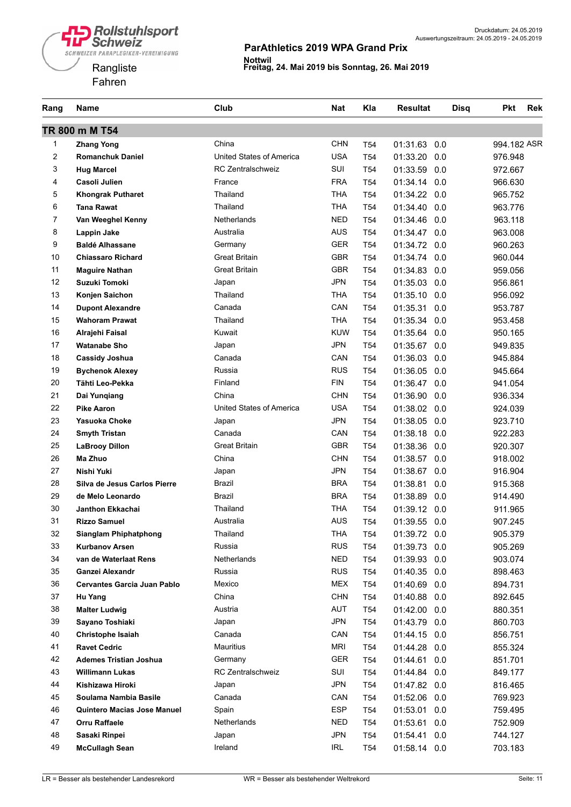



| Rang           | <b>Name</b>                   | Club                     | <b>Nat</b> | Kla             | <b>Resultat</b> | <b>Disq</b> | <b>Pkt</b>         | <b>Rek</b> |
|----------------|-------------------------------|--------------------------|------------|-----------------|-----------------|-------------|--------------------|------------|
|                | TR 800 m M T54                |                          |            |                 |                 |             |                    |            |
| 1              | <b>Zhang Yong</b>             | China                    | <b>CHN</b> | T <sub>54</sub> | 01:31.63<br>0.0 |             | 994.182 ASR        |            |
| 2              | <b>Romanchuk Daniel</b>       | United States of America | <b>USA</b> | T <sub>54</sub> | 01:33.20<br>0.0 |             | 976.948            |            |
| 3              | <b>Hug Marcel</b>             | <b>RC Zentralschweiz</b> | SUI        | T <sub>54</sub> | 01:33.59<br>0.0 |             | 972.667            |            |
| 4              | Casoli Julien                 | France                   | <b>FRA</b> | T <sub>54</sub> | 01:34.14<br>0.0 |             | 966.630            |            |
| 5              | <b>Khongrak Putharet</b>      | Thailand                 | <b>THA</b> | T <sub>54</sub> | 01:34.22<br>0.0 |             | 965.752            |            |
| 6              | <b>Tana Rawat</b>             | Thailand                 | <b>THA</b> | T <sub>54</sub> | 01:34.40<br>0.0 |             | 963.776            |            |
| $\overline{7}$ | Van Weeghel Kenny             | <b>Netherlands</b>       | <b>NED</b> | T <sub>54</sub> | 01:34.46<br>0.0 |             | 963.118            |            |
| 8              | Lappin Jake                   | Australia                | <b>AUS</b> | T <sub>54</sub> | 01:34.47<br>0.0 |             | 963.008            |            |
| 9              | <b>Baldé Alhassane</b>        | Germany                  | GER        | T <sub>54</sub> | 01:34.72<br>0.0 |             | 960.263            |            |
| 10             | <b>Chiassaro Richard</b>      | <b>Great Britain</b>     | GBR        | T <sub>54</sub> | 01:34.74<br>0.0 |             | 960.044            |            |
| 11             | <b>Maguire Nathan</b>         | <b>Great Britain</b>     | <b>GBR</b> | T <sub>54</sub> | 01:34.83<br>0.0 |             | 959.056            |            |
| 12             | <b>Suzuki Tomoki</b>          | Japan                    | <b>JPN</b> | T <sub>54</sub> | 01:35.03<br>0.0 |             | 956.861            |            |
| 13             | Konjen Saichon                | Thailand                 | <b>THA</b> | T <sub>54</sub> | 01:35.10<br>0.0 |             | 956.092            |            |
| 14             | <b>Dupont Alexandre</b>       | Canada                   | CAN        | T <sub>54</sub> | 01:35.31<br>0.0 |             | 953.787            |            |
| 15             | <b>Wahoram Prawat</b>         | Thailand                 | <b>THA</b> | T <sub>54</sub> | 01:35.34<br>0.0 |             | 953.458            |            |
| 16             | Alrajehi Faisal               | Kuwait                   | <b>KUW</b> | T <sub>54</sub> | 01:35.64<br>0.0 |             | 950.165            |            |
| 17             | <b>Watanabe Sho</b>           | Japan                    | <b>JPN</b> | T <sub>54</sub> | 01:35.67<br>0.0 |             | 949.835            |            |
| 18             | <b>Cassidy Joshua</b>         | Canada                   | CAN        | T <sub>54</sub> | 01:36.03<br>0.0 |             | 945.884            |            |
| 19             | <b>Bychenok Alexey</b>        | Russia                   | <b>RUS</b> | T <sub>54</sub> | 01:36.05<br>0.0 |             | 945.664            |            |
| 20             | Tähti Leo-Pekka               | Finland                  | <b>FIN</b> | T <sub>54</sub> | 01:36.47<br>0.0 |             | 941.054            |            |
| 21             | Dai Yungiang                  | China                    | <b>CHN</b> | T <sub>54</sub> | 01:36.90<br>0.0 |             | 936.334            |            |
| 22             | <b>Pike Aaron</b>             | United States of America | <b>USA</b> | T <sub>54</sub> | 01:38.02<br>0.0 |             | 924.039            |            |
| 23             | Yasuoka Choke                 | Japan                    | <b>JPN</b> | T <sub>54</sub> | 01:38.05<br>0.0 |             | 923.710            |            |
| 24             | <b>Smyth Tristan</b>          | Canada                   | CAN        | T <sub>54</sub> | 01:38.18<br>0.0 |             | 922.283            |            |
| 25             | <b>LaBrooy Dillon</b>         | <b>Great Britain</b>     | <b>GBR</b> | T <sub>54</sub> | 01:38.36<br>0.0 |             | 920.307            |            |
| 26             | Ma Zhuo                       | China                    | <b>CHN</b> | T <sub>54</sub> | 01:38.57<br>0.0 |             | 918.002            |            |
| 27             | Nishi Yuki                    | Japan                    | <b>JPN</b> | T <sub>54</sub> | 01:38.67<br>0.0 |             | 916.904            |            |
| 28             | Silva de Jesus Carlos Pierre  | Brazil                   | <b>BRA</b> | T <sub>54</sub> | 01:38.81<br>0.0 |             | 915.368            |            |
| 29             | de Melo Leonardo              | Brazil                   | <b>BRA</b> | T <sub>54</sub> | 01:38.89<br>0.0 |             | 914.490            |            |
| 30             | Janthon Ekkachai              | Thailand                 | <b>THA</b> | T <sub>54</sub> | 01:39.12<br>0.0 |             | 911.965            |            |
| 31             | <b>Rizzo Samuel</b>           | Australia                | <b>AUS</b> | T <sub>54</sub> | 01:39.55<br>0.0 |             | 907.245            |            |
| 32             | <b>Sianglam Phiphatphong</b>  | Thailand                 | <b>THA</b> | T <sub>54</sub> | 01:39.72 0.0    |             | 905.379            |            |
| 33             | <b>Kurbanov Arsen</b>         | Russia                   | <b>RUS</b> | T54             | 01:39.73 0.0    |             | 905.269            |            |
| 34             | van de Waterlaat Rens         | Netherlands              | <b>NED</b> | T <sub>54</sub> | 01:39.93 0.0    |             | 903.074            |            |
| 35             | Ganzei Alexandr               | Russia                   | <b>RUS</b> | T54             | 01:40.35 0.0    |             | 898.463            |            |
| 36             | Cervantes Garcia Juan Pablo   | Mexico                   | MEX        | T54             | 01:40.69 0.0    |             | 894.731            |            |
| 37             | Hu Yang                       | China                    | <b>CHN</b> | T54             | 01:40.88<br>0.0 |             | 892.645            |            |
| 38             | <b>Malter Ludwig</b>          | Austria                  | <b>AUT</b> | T54             | 01:42.00 0.0    |             | 880.351            |            |
| 39             | Sayano Toshiaki               | Japan                    | <b>JPN</b> | T54             | 01:43.79 0.0    |             | 860.703            |            |
| 40             | Christophe Isaiah             | Canada                   | CAN        | T54             | 01:44.15 0.0    |             | 856.751            |            |
| 41             | <b>Ravet Cedric</b>           | <b>Mauritius</b>         | MRI        | T54             | 01:44.28<br>0.0 |             | 855.324            |            |
| 42             | <b>Ademes Tristian Joshua</b> | Germany                  | GER        | T54             | 01:44.61<br>0.0 |             | 851.701            |            |
| 43             | <b>Willimann Lukas</b>        | <b>RC Zentralschweiz</b> | SUI        | T54             | 01:44.84 0.0    |             | 849.177            |            |
| 44             | Kishizawa Hiroki              | Japan                    | <b>JPN</b> | T54             | 01:47.82 0.0    |             | 816.465            |            |
| 45             | Soulama Nambia Basile         | Canada                   | CAN        | T <sub>54</sub> | 01:52.06 0.0    |             | 769.923            |            |
| 46             | Quintero Macias Jose Manuel   | Spain                    | <b>ESP</b> | T54             | 01:53.01 0.0    |             | 759.495            |            |
| 47             | Orru Raffaele                 | Netherlands              | <b>NED</b> | T54             | 01:53.61<br>0.0 |             | 752.909            |            |
| 48             | Sasaki Rinpei                 | Japan                    | <b>JPN</b> | T54             | 01:54.41 0.0    |             |                    |            |
| 49             | <b>McCullagh Sean</b>         | Ireland                  | IRL        | T54             | 01:58.14 0.0    |             | 744.127<br>703.183 |            |
|                |                               |                          |            |                 |                 |             |                    |            |